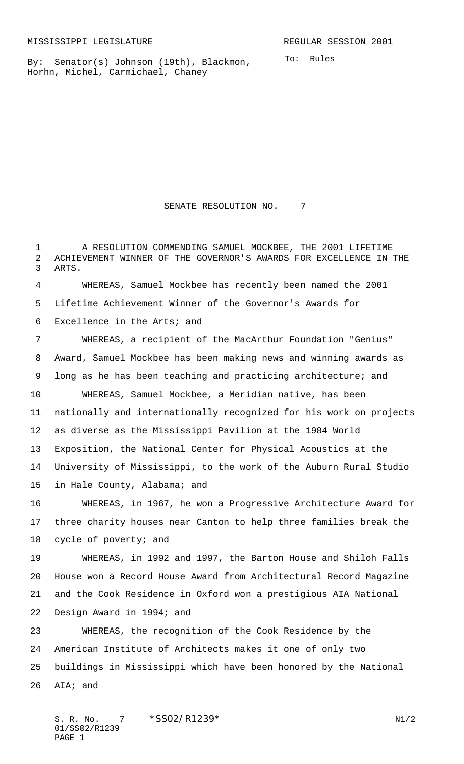By: Senator(s) Johnson (19th), Blackmon, Horhn, Michel, Carmichael, Chaney

To: Rules

SENATE RESOLUTION NO. 7

 A RESOLUTION COMMENDING SAMUEL MOCKBEE, THE 2001 LIFETIME ACHIEVEMENT WINNER OF THE GOVERNOR'S AWARDS FOR EXCELLENCE IN THE ARTS.

 WHEREAS, Samuel Mockbee has recently been named the 2001 Lifetime Achievement Winner of the Governor's Awards for Excellence in the Arts; and

 WHEREAS, a recipient of the MacArthur Foundation "Genius" Award, Samuel Mockbee has been making news and winning awards as 9 long as he has been teaching and practicing architecture; and WHEREAS, Samuel Mockbee, a Meridian native, has been nationally and internationally recognized for his work on projects as diverse as the Mississippi Pavilion at the 1984 World Exposition, the National Center for Physical Acoustics at the University of Mississippi, to the work of the Auburn Rural Studio 15 in Hale County, Alabama; and WHEREAS, in 1967, he won a Progressive Architecture Award for

 three charity houses near Canton to help three families break the 18 cycle of poverty; and

 WHEREAS, in 1992 and 1997, the Barton House and Shiloh Falls House won a Record House Award from Architectural Record Magazine and the Cook Residence in Oxford won a prestigious AIA National Design Award in 1994; and

 WHEREAS, the recognition of the Cook Residence by the American Institute of Architects makes it one of only two buildings in Mississippi which have been honored by the National AIA; and